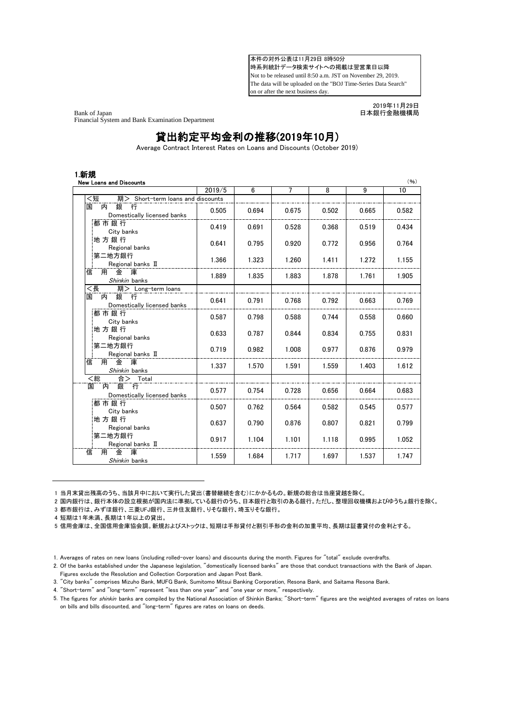本件の対外公表は11月29日 8時50分 時系列統計データ検索サイトへの掲載は翌営業日以降 Not to be released until 8:50 a.m. JST on November 29, 2019. The data will be uploaded on the "BOJ Time-Series Data Search" on or after the next business day.

Bank of Japan インティング こうしょう こうしょう おおとこ おおとこ おおとこ 日本銀行金融機構局 こうきょう Financial System and Bank Examination Department

2019年11月29日

## 貸出約定平均金利の推移(2019年10月)

Average Contract Interest Rates on Loans and Discounts (October 2019)

|                                                 | 2019/5 | 6     | 7     | 8     | $\overline{9}$ | 10    |
|-------------------------------------------------|--------|-------|-------|-------|----------------|-------|
| <短<br>期> Short-term loans and discounts         |        |       |       |       |                |       |
| 銀<br>内<br>行<br>国<br>Domestically licensed banks | 0.505  | 0.694 | 0.675 | 0.502 | 0.665          | 0.582 |
| 都市銀行<br>City banks                              | 0.419  | 0.691 | 0.528 | 0.368 | 0.519          | 0.434 |
| 地方銀行<br>Regional banks                          | 0.641  | 0.795 | 0.920 | 0.772 | 0.956          | 0.764 |
| 第二地方銀行<br>Regional banks II                     | 1.366  | 1.323 | 1.260 | 1.411 | 1.272          | 1.155 |
| 金<br>用<br>庫<br>信<br>Shinkin banks               | 1.889  | 1.835 | 1.883 | 1.878 | 1.761          | 1.905 |
| <長<br>期> Long-term loans                        |        |       |       |       |                |       |
| 銀行<br>内<br>国<br>Domestically licensed banks     | 0.641  | 0.791 | 0.768 | 0.792 | 0.663          | 0.769 |
| 都市銀行<br>City banks                              | 0.587  | 0.798 | 0.588 | 0.744 | 0.558          | 0.660 |
| 地方銀行<br>Regional banks                          | 0.633  | 0.787 | 0.844 | 0.834 | 0.755          | 0.831 |
| 第二地方銀行<br>Regional banks II                     | 0.719  | 0.982 | 1.008 | 0.977 | 0.876          | 0.979 |
| 用<br>金庫<br>信<br>Shinkin banks                   | 1.337  | 1.570 | 1.591 | 1.559 | 1.403          | 1.612 |
| <総<br>合><br>Total                               |        |       |       |       |                |       |
| 観<br>丙<br>国<br>行<br>Domestically licensed banks | 0.577  | 0.754 | 0.728 | 0.656 | 0.664          | 0.683 |
| 都市銀行<br>City banks                              | 0.507  | 0.762 | 0.564 | 0.582 | 0.545          | 0.577 |
| 地方銀行<br>Regional banks                          | 0.637  | 0.790 | 0.876 | 0.807 | 0.821          | 0.799 |
| 第二地方銀行<br>Regional banks II                     | 0.917  | 1.104 | 1.101 | 1.118 | 0.995          | 1.052 |
| 用<br>金<br>庫<br>信<br>Shinkin banks               | 1.559  | 1.684 | 1.717 | 1.697 | 1.537          | 1.747 |

1 当月末貸出残高のうち、当該月中において実行した貸出(書替継続を含む)にかかるもの。新規の総合は当座貸越を除く。

2 国内銀行は、銀行本体の設立根拠が国内法に準拠している銀行のうち、日本銀行と取引のある銀行。ただし、整理回収機構およびゆうちょ銀行を除く。

3 都市銀行は、みずほ銀行、三菱UFJ銀行、三井住友銀行、りそな銀行、埼玉りそな銀行。

4 短期は1年未満、長期は1年以上の貸出。

4. "Short-term" and "long-term" represent "less than one year" and "one year or more," respectively.

<sup>5</sup> 信用金庫は、全国信用金庫協会調。新規およびストックは、短期は手形貸付と割引手形の金利の加重平均、長期は証書貸付の金利とする。

<sup>1.</sup> Averages of rates on new loans (including rolled-over loans) and discounts during the month. Figures for "total" exclude overdrafts.

<sup>2.</sup> Of the banks established under the Japanese legislation, "domestically licensed banks" are those that conduct transactions with the Bank of Japan. Figures exclude the Resolution and Collection Corporation and Japan Post Bank.

<sup>3.</sup> "City banks" comprises Mizuho Bank, MUFG Bank, Sumitomo Mitsui Banking Corporation, Resona Bank, and Saitama Resona Bank.

<sup>5.</sup> The figures for *shinkin* banks are compiled by the National Association of Shinkin Banks; "Short-term" figures are the weighted averages of rates on loans on bills and bills discounted, and "long-term" figures are rates on loans on deeds.